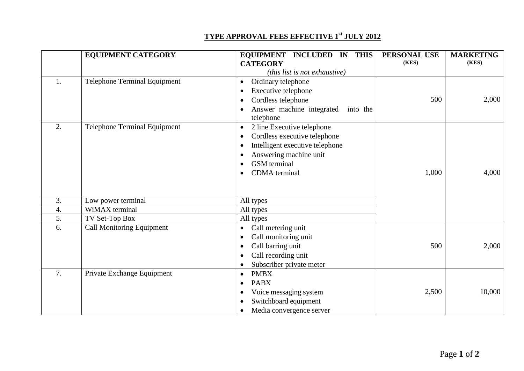## **TYPE APPROVAL FEES EFFECTIVE 1st JULY 2012**

|    | <b>EQUIPMENT CATEGORY</b>           | EQUIPMENT INCLUDED IN THIS<br><b>CATEGORY</b>                                                                                                                                                                                                        | PERSONAL USE<br>(KES) | <b>MARKETING</b><br>(KES) |
|----|-------------------------------------|------------------------------------------------------------------------------------------------------------------------------------------------------------------------------------------------------------------------------------------------------|-----------------------|---------------------------|
|    |                                     | ( <i>this list is not exhaustive</i> )                                                                                                                                                                                                               |                       |                           |
| 1. | <b>Telephone Terminal Equipment</b> | Ordinary telephone<br>$\bullet$<br>Executive telephone<br>$\bullet$<br>Cordless telephone<br>$\bullet$<br>Answer machine integrated<br>into the<br>$\bullet$<br>telephone                                                                            | 500                   | 2,000                     |
| 2. | <b>Telephone Terminal Equipment</b> | 2 line Executive telephone<br>$\bullet$<br>Cordless executive telephone<br>$\bullet$<br>Intelligent executive telephone<br>$\bullet$<br>Answering machine unit<br>$\bullet$<br><b>GSM</b> terminal<br>$\bullet$<br><b>CDMA</b> terminal<br>$\bullet$ | 1,000                 | 4,000                     |
| 3. | Low power terminal                  | All types                                                                                                                                                                                                                                            |                       |                           |
| 4. | WiMAX terminal                      | All types                                                                                                                                                                                                                                            |                       |                           |
| 5. | TV Set-Top Box                      | All types                                                                                                                                                                                                                                            |                       |                           |
| 6. | <b>Call Monitoring Equipment</b>    | Call metering unit<br>$\bullet$<br>Call monitoring unit<br>$\bullet$<br>Call barring unit<br>$\bullet$<br>Call recording unit<br>$\bullet$<br>Subscriber private meter<br>$\bullet$                                                                  | 500                   | 2,000                     |
| 7. | Private Exchange Equipment          | <b>PMBX</b><br>$\bullet$<br><b>PABX</b><br>$\bullet$<br>Voice messaging system<br>$\bullet$<br>Switchboard equipment<br>$\bullet$<br>Media convergence server<br>$\bullet$                                                                           | 2,500                 | 10,000                    |